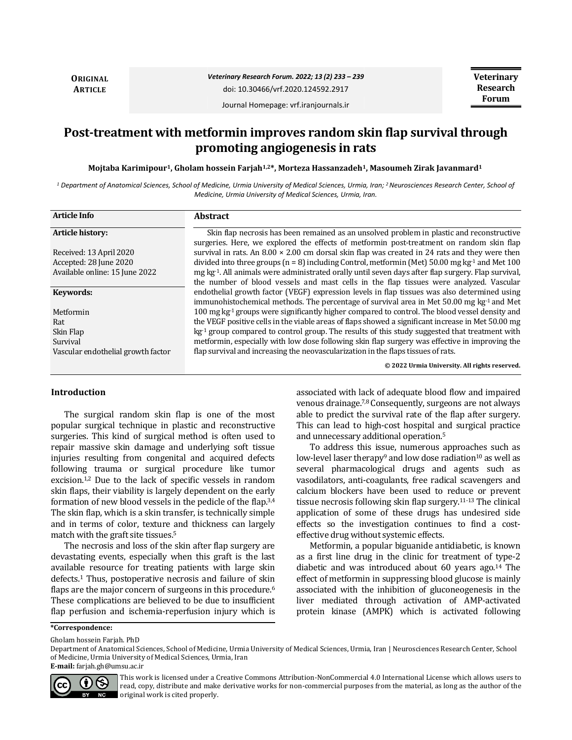**ORIGINAL ARTICLE**

# *Veterinary Research Forum. 2022; 13 (2) 233 – 239*

doi: 10.30466/vrf.2020.124592.2917

**Veterinary Research Forum**

Journal Homepage: vrf.iranjournals.ir

# **Post-treatment with metformin improves random skin flap survival through promoting angiogenesis in rats**

**Mojtaba Karimipour1, Gholam hossein Farjah1,2\*, Morteza Hassanzadeh1, Masoumeh Zirak Javanmard<sup>1</sup>**

*<sup>1</sup> Department of Anatomical Sciences, School of Medicine, Urmia University of Medical Sciences, Urmia, Iran; <sup>2</sup>Neurosciences Research Center, School of Medicine, Urmia University of Medical Sciences, Urmia, Iran.*

| <b>Article Info</b>                | <b>Abstract</b>                                                                                                                                                                                   |
|------------------------------------|---------------------------------------------------------------------------------------------------------------------------------------------------------------------------------------------------|
| <b>Article history:</b>            | Skin flap necrosis has been remained as an unsolved problem in plastic and reconstructive                                                                                                         |
| Received: 13 April 2020            | surgeries. Here, we explored the effects of metformin post-treatment on random skin flap<br>survival in rats. An $8.00 \times 2.00$ cm dorsal skin flap was created in 24 rats and they were then |
| Accepted: 28 June 2020             | divided into three groups ( $n = 8$ ) including Control, metformin (Met) 50.00 mg kg <sup>-1</sup> and Met 100                                                                                    |
| Available online: 15 June 2022     | mg kg <sup>-1</sup> . All animals were administrated orally until seven days after flap surgery. Flap survival,                                                                                   |
|                                    | the number of blood vessels and mast cells in the flap tissues were analyzed. Vascular                                                                                                            |
| Keywords:                          | endothelial growth factor (VEGF) expression levels in flap tissues was also determined using                                                                                                      |
|                                    | immunohistochemical methods. The percentage of survival area in Met $50.00 \text{ mg kg} \cdot 1$ and Met                                                                                         |
| Metformin                          | 100 mg kg-1 groups were significantly higher compared to control. The blood vessel density and                                                                                                    |
| Rat                                | the VEGF positive cells in the viable areas of flaps showed a significant increase in Met 50.00 mg                                                                                                |
| Skin Flap                          | $kg-1$ group compared to control group. The results of this study suggested that treatment with                                                                                                   |
| Survival                           | metformin, especially with low dose following skin flap surgery was effective in improving the                                                                                                    |
| Vascular endothelial growth factor | flap survival and increasing the neovascularization in the flaps tissues of rats.                                                                                                                 |
|                                    | © 2022 Urmia University. All rights reserved.                                                                                                                                                     |

# **Introduction**

The surgical random skin flap is one of the most popular surgical technique in plastic and reconstructive surgeries. This kind of surgical method is often used to repair massive skin damage and underlying soft tissue injuries resulting from congenital and acquired defects following trauma or surgical procedure like tumor excision.<sup>1,2</sup> Due to the lack of specific vessels in random skin flaps, their viability is largely dependent on the early formation of new blood vessels in the pedicle of the flap.3,4 The skin flap, which is a skin transfer, is technically simple and in terms of color, texture and thickness can largely match with the graft site tissues.<sup>5</sup>

The necrosis and loss of the skin after flap surgery are devastating events, especially when this graft is the last available resource for treating patients with large skin defects.<sup>1</sup> Thus, postoperative necrosis and failure of skin flaps are the major concern of surgeons in this procedure.<sup>6</sup> These complications are believed to be due to insufficient flap perfusion and ischemia-reperfusion injury which is

associated with lack of adequate blood flow and impaired venous drainage.7,8 Consequently, surgeons are not always able to predict the survival rate of the flap after surgery. This can lead to high-cost hospital and surgical practice and unnecessary additional operation.<sup>5</sup>

To address this issue, numerous approaches such as low-level laser therapy<sup>9</sup> and low dose radiation<sup>10</sup> as well as several pharmacological drugs and agents such as vasodilators, anti-coagulants, free radical scavengers and calcium blockers have been used to reduce or prevent tissue necrosis following skin flap surgery.11-13 The clinical application of some of these drugs has undesired side effects so the investigation continues to find a costeffective drug without systemic effects.

Metformin, a popular biguanide antidiabetic, is known as a first line drug in the clinic for treatment of type-2 diabetic and was introduced about 60 years ago.<sup>14</sup> The effect of metformin in suppressing blood glucose is mainly associated with the inhibition of gluconeogenesis in the liver mediated through activation of AMP-activated protein kinase (AMPK) which is activated following

Gholam hossein Farjah. PhD

Department of Anatomical Sciences, School of Medicine, Urmia University of Medical Sciences, Urmia, Iran | Neurosciences Research Center, School of Medicine, Urmia University of Medical Sciences, Urmia, Iran **E-mail:** farjah.gh@umsu.ac.ir



This work is licensed under a [Creative Commons Attribution-NonCommercial 4.0 International License](http://creativecommons.org/licenses/by-nc/4.0/) which allows users to read, copy, distribute and make derivative works for non-commercial purposes from the material, as long as the author of the original work is cited properly.

**<sup>\*</sup>Correspondence:**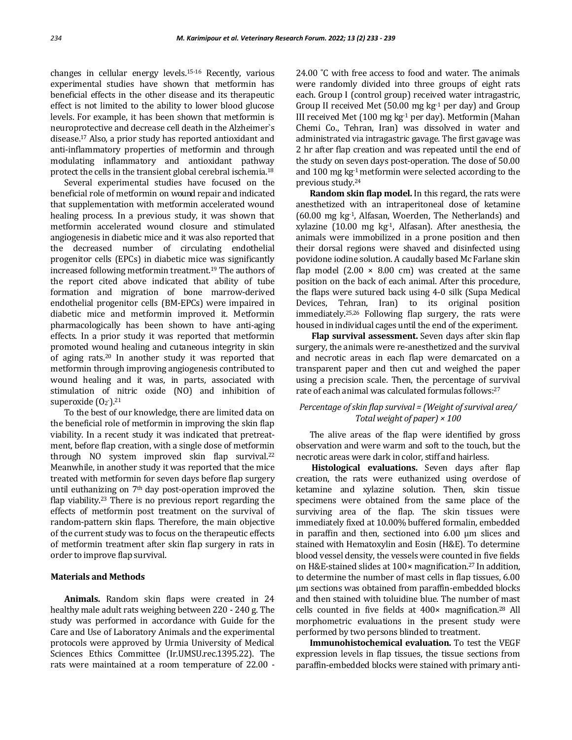changes in cellular energy levels.15-16 Recently, various experimental studies have shown that metformin has beneficial effects in the other disease and its therapeutic effect is not limited to the ability to lower blood glucose levels. For example, it has been shown that metformin is neuroprotective and decrease cell death in the Alzheimer`s disease.<sup>17</sup> Also, a prior study has reported antioxidant and anti-inflammatory properties of metformin and through modulating inflammatory and antioxidant pathway protect the cells in the transient global cerebral ischemia.<sup>18</sup>

Several experimental studies have focused on the beneficial role of metformin on wound repair and indicated that supplementation with metformin accelerated wound healing process. In a previous study, it was shown that metformin accelerated wound closure and stimulated angiogenesis in diabetic mice and it was also reported that the decreased number of circulating endothelial progenitor cells (EPCs) in diabetic mice was significantly increased following metformin treatment.<sup>19</sup> The authors of the report cited above indicated that ability of tube formation and migration of bone marrow-derived endothelial progenitor cells (BM-EPCs) were impaired in diabetic mice and metformin improved it. Metformin pharmacologically has been shown to have anti-aging effects. In a prior study it was reported that metformin promoted wound healing and cutaneous integrity in skin of aging rats.<sup>20</sup> In another study it was reported that metformin through improving angiogenesis contributed to wound healing and it was, in parts, associated with stimulation of nitric oxide (NO) and inhibition of superoxide  $(0_2)$ <sup>21</sup>

To the best of our knowledge, there are limited data on the beneficial role of metformin in improving the skin flap viability. In a recent study it was indicated that pretreatment, before flap creation, with a single dose of metformin through NO system improved skin flap survival.<sup>22</sup> Meanwhile, in another study it was reported that the mice treated with metformin for seven days before flap surgery until euthanizing on  $7<sup>th</sup>$  day post-operation improved the flap viability.<sup>23</sup> There is no previous report regarding the effects of metformin post treatment on the survival of random-pattern skin flaps. Therefore, the main objective of the current study was to focus on the therapeutic effects of metformin treatment after skin flap surgery in rats in order to improve flap survival.

#### **Materials and Methods**

**Animals.** Random skin flaps were created in 24 healthy male adult rats weighing between 220 - 240 g. The study was performed in accordance with Guide for the Care and Use of Laboratory Animals and the experimental protocols were approved by Urmia University of Medical Sciences Ethics Committee (Ir.UMSU.rec.1395.22). The rats were maintained at a room temperature of 22.00 -

24.00 °C with free access to food and water. The animals were randomly divided into three groups of eight rats each. Group Ι (control group) received water intragastric, Group II received Met (50.00 mg  $kg<sup>-1</sup>$  per day) and Group ΙΙΙ received Met (100 mg kg-1 per day). Metformin (Mahan Chemi Co., Tehran, Iran) was dissolved in water and administrated via intragastric gavage. The first gavage was 2 hr after flap creation and was repeated until the end of the study on seven days post-operation. The dose of 50.00 and 100 mg kg-1 metformin were selected according to the previous study.<sup>24</sup>

**Random skin flap model.** In this regard, the rats were anesthetized with an intraperitoneal dose of ketamine  $(60.00 \text{ mg kg}^1)$ , Alfasan, Woerden, The Netherlands) and xylazine (10.00 mg kg-1, Alfasan). After anesthesia, the animals were immobilized in a prone position and then their dorsal regions were shaved and disinfected using povidone iodine solution. A caudally based Mc Farlane skin flap model  $(2.00 \times 8.00 \text{ cm})$  was created at the same position on the back of each animal. After this procedure, the flaps were sutured back using 4-0 silk (Supa Medical Devices, Tehran, Iran) to its original position immediately.25,26 Following flap surgery, the rats were housed in individual cages until the end of the experiment.

**Flap survival assessment.** Seven days after skin flap surgery, the animals were re-anesthetized and the survival and necrotic areas in each flap were demarcated on a transparent paper and then cut and weighed the paper using a precision scale. Then, the percentage of survival rate of each animal was calculated formulas follows: 27

# *Percentage of skin flap survival = (Weight of survival area/ Total weight of paper) × 100*

The alive areas of the flap were identified by gross observation and were warm and soft to the touch, but the necrotic areas were dark in color, stiff and hairless.

**Histological evaluations.** Seven days after flap creation, the rats were euthanized using overdose of ketamine and xylazine solution. Then, skin tissue specimens were obtained from the same place of the surviving area of the flap. The skin tissues were immediately fixed at 10.00% buffered formalin, embedded in paraffin and then, sectioned into 6.00 µm slices and stained with Hematoxylin and Eosin (H&E). To determine blood vessel density, the vessels were counted in five fields on H&E-stained slides at 100× magnification.27 In addition, to determine the number of mast cells in flap tissues, 6.00 µm sections was obtained from paraffin-embedded blocks and then stained with toluidine blue. The number of mast cells counted in five fields at 400× magnification.<sup>28</sup> All morphometric evaluations in the present study were performed by two persons blinded to treatment.

**Immunohistochemical evaluation.** To test the VEGF expression levels in flap tissues, the tissue sections from paraffin-embedded blocks were stained with primary anti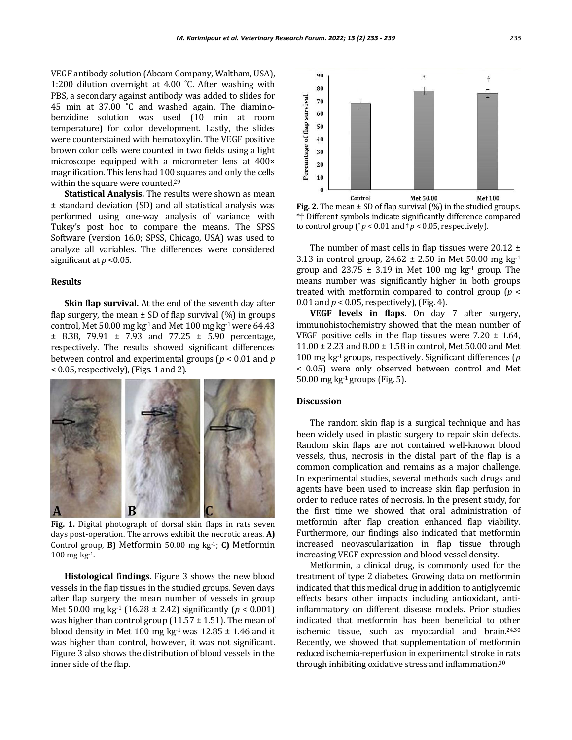VEGF antibody solution (Abcam Company, Waltham, USA), 1:200 dilution overnight at 4.00 ˚C. After washing with PBS, a secondary against antibody was added to slides for 45 min at 37.00 ˚C and washed again. The diaminobenzidine solution was used (10 min at room temperature) for color development. Lastly, the slides were counterstained with hematoxylin. The VEGF positive brown color cells were counted in two fields using a light microscope equipped with a micrometer lens at 400× magnification. This lens had 100 squares and only the cells within the square were counted.<sup>29</sup>

**Statistical Analysis.** The results were shown as mean ± standard deviation (SD) and all statistical analysis was performed using one-way analysis of variance, with Tukey's post hoc to compare the means. The SPSS Software (version 16.0; SPSS, Chicago, USA) was used to analyze all variables. The differences were considered significant at  $p < 0.05$ .

# **Results**

**Skin flap survival.** At the end of the seventh day after flap surgery, the mean  $\pm$  SD of flap survival (%) in groups control, Met 50.00 mg kg<sup>-1</sup> and Met 100 mg kg<sup>-1</sup> were 64.43  $\pm$  8.38, 79.91  $\pm$  7.93 and 77.25  $\pm$  5.90 percentage, respectively. The results showed significant differences between control and experimental groups (*p* < 0.01 and *p*   $< 0.05$ , respectively), (Figs. 1 and 2).



**Fig. 1.** Digital photograph of dorsal skin flaps in rats seven days post-operation. The arrows exhibit the necrotic areas. **A)** Control group, **B)** Metformin 50.00 mg kg-1; **C)** Metformin 100 mg kg-1.

**Histological findings.** Figure 3 shows the new blood vessels in the flap tissues in the studied groups. Seven days after flap surgery the mean number of vessels in group Met 50.00 mg kg-1 (16.28 ± 2.42) significantly (*p* < 0.001) was higher than control group  $(11.57 \pm 1.51)$ . The mean of blood density in Met 100 mg kg<sup>-1</sup> was  $12.85 \pm 1.46$  and it was higher than control, however, it was not significant. Figure 3 also shows the distribution of blood vessels in the inner side of the flap.



**Fig. 2.** The mean  $\pm$  SD of flap survival (%) in the studied groups. \*† Different symbols indicate significantly difference compared to control group ( $p < 0.01$  and  $p < 0.05$ , respectively).

The number of mast cells in flap tissues were  $20.12 \pm$ 3.13 in control group,  $24.62 \pm 2.50$  in Met 50.00 mg kg<sup>-1</sup> group and  $23.75 \pm 3.19$  in Met 100 mg kg<sup>-1</sup> group. The means number was significantly higher in both groups treated with metformin compared to control group (*p* < 0.01 and  $p < 0.05$ , respectively), (Fig. 4).

**VEGF levels in flaps.** On day 7 after surgery, immunohistochemistry showed that the mean number of VEGF positive cells in the flap tissues were  $7.20 \pm 1.64$ , 11.00 ± 2.23 and 8.00 ± 1.58 in control, Met 50.00 and Met 100 mg kg-1 groups, respectively. Significant differences (*p*  < 0.05) were only observed between control and Met 50.00 mg kg $^{-1}$  groups (Fig. 5).

#### **Discussion**

The random skin flap is a surgical technique and has been widely used in plastic surgery to repair skin defects. Random skin flaps are not contained well-known blood vessels, thus, necrosis in the distal part of the flap is a common complication and remains as a major challenge. In experimental studies, several methods such drugs and agents have been used to increase skin flap perfusion in order to reduce rates of necrosis. In the present study, for the first time we showed that oral administration of metformin after flap creation enhanced flap viability. Furthermore, our findings also indicated that metformin increased neovascularization in flap tissue through increasing VEGF expression and blood vessel density.

Metformin, a clinical drug, is commonly used for the treatment of type 2 diabetes. Growing data on metformin indicated that this medical drug in addition to antiglycemic effects bears other impacts including antioxidant, antiinflammatory on different disease models. Prior studies indicated that metformin has been beneficial to other ischemic tissue, such as myocardial and brain.24,30 Recently, we showed that supplementation of metformin reduced ischemia-reperfusion in experimental stroke in rats through inhibiting oxidative stress and inflammation.30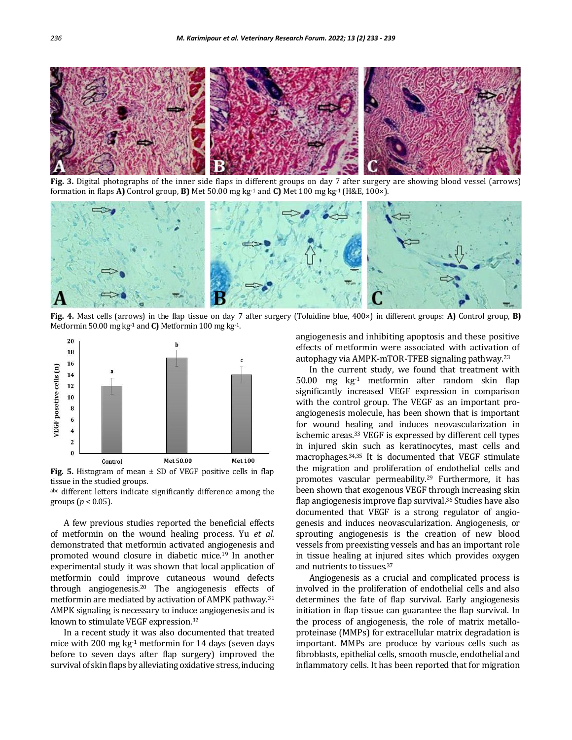

**Fig. 3.** Digital photographs of the inner side flaps in different groups on day 7 after surgery are showing blood vessel (arrows) formation in flaps **A)** Control group, **B)** Met 50.00 mg kg-1 and **C)** Met 100 mg kg-1 (H&E, 100×).



**Fig. 4.** Mast cells (arrows) in the flap tissue on day 7 after surgery (Toluidine blue, 400×) in different groups: **A)** Control group, **B)** Metformin 50.00 mg kg-1 and **C)** Metformin 100 mg kg-1.



**Fig. 5.** Histogram of mean ± SD of VEGF positive cells in flap tissue in the studied groups.

abc different letters indicate significantly difference among the groups (*p* < 0.05).

A few previous studies reported the beneficial effects of metformin on the wound healing process. Yu *et al*. demonstrated that metformin activated angiogenesis and promoted wound closure in diabetic mice.<sup>19</sup> In another experimental study it was shown that local application of metformin could improve cutaneous wound defects through angiogenesis.<sup>20</sup> The angiogenesis effects of metformin are mediated by activation of AMPK pathway.<sup>31</sup> AMPK signaling is necessary to induce angiogenesis and is known to stimulate VEGF expression.<sup>32</sup>

In a recent study it was also documented that treated mice with 200 mg  $kg<sup>-1</sup>$  metformin for 14 days (seven days before to seven days after flap surgery) improved the survival of skin flaps by alleviating oxidative stress, inducing angiogenesis and inhibiting apoptosis and these positive effects of metformin were associated with activation of autophagy via AMPK-mTOR-TFEB signaling pathway.<sup>23</sup>

In the current study, we found that treatment with 50.00 mg  $kg<sup>-1</sup>$  metformin after random skin flap significantly increased VEGF expression in comparison with the control group. The VEGF as an important proangiogenesis molecule, has been shown that is important for wound healing and induces neovascularization in ischemic areas.<sup>33</sup> VEGF is expressed by different cell types in injured skin such as keratinocytes, mast cells and macrophages.34,35 It is documented that VEGF stimulate the migration and proliferation of endothelial cells and promotes vascular permeability.<sup>29</sup> Furthermore, it has been shown that exogenous VEGF through increasing skin flap angiogenesis improve flap survival.<sup>36</sup> Studies have also documented that VEGF is a strong regulator of angiogenesis and induces neovascularization. Angiogenesis, or sprouting angiogenesis is the creation of new blood vessels from preexisting vessels and has an important role in tissue healing at injured sites which provides oxygen and nutrients to tissues.<sup>37</sup>

Angiogenesis as a crucial and complicated process is involved in the proliferation of endothelial cells and also determines the fate of flap survival. Early angiogenesis initiation in flap tissue can guarantee the flap survival. In the process of angiogenesis, the role of matrix metalloproteinase (MMPs) for extracellular matrix degradation is important. MMPs are produce by various cells such as fibroblasts, epithelial cells, smooth muscle, endothelial and inflammatory cells. It has been reported that for migration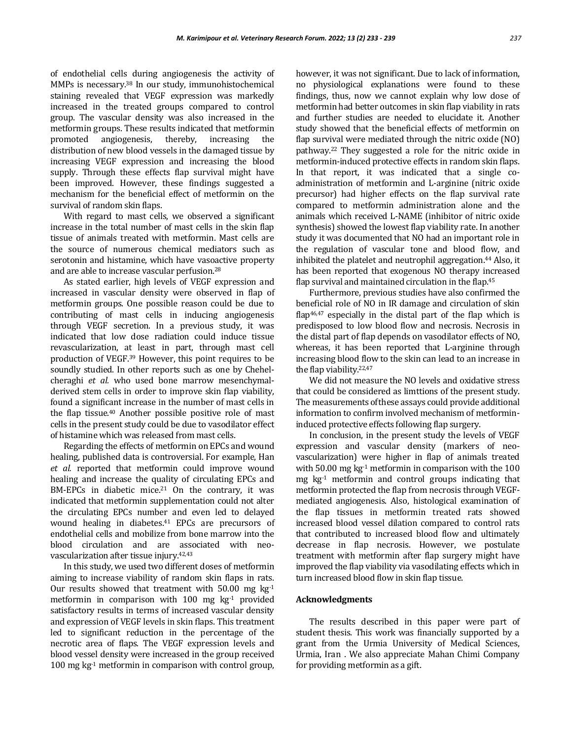of endothelial cells during angiogenesis the activity of MMPs is necessary.<sup>38</sup> In our study, immunohistochemical staining revealed that VEGF expression was markedly increased in the treated groups compared to control group. The vascular density was also increased in the metformin groups. These results indicated that metformin promoted angiogenesis, thereby, increasing the distribution of new blood vessels in the damaged tissue by increasing VEGF expression and increasing the blood supply. Through these effects flap survival might have been improved. However, these findings suggested a mechanism for the beneficial effect of metformin on the survival of random skin flaps.

With regard to mast cells, we observed a significant increase in the total number of mast cells in the skin flap tissue of animals treated with metformin. Mast cells are the source of numerous chemical mediators such as serotonin and histamine, which have vasoactive property and are able to increase vascular perfusion.<sup>28</sup>

As stated earlier, high levels of VEGF expression and increased in vascular density were observed in flap of metformin groups. One possible reason could be due to contributing of mast cells in inducing angiogenesis through VEGF secretion. In a previous study, it was indicated that low dose radiation could induce tissue revascularization, at least in part, through mast cell production of VEGF.<sup>39</sup> However, this point requires to be soundly studied. In other reports such as one by Chehelcheraghi *et al.* who used bone marrow mesenchymalderived stem cells in order to improve skin flap viability, found a significant increase in the number of mast cells in the flap tissue.<sup>40</sup> Another possible positive role of mast cells in the present study could be due to vasodilator effect of histamine which was released from mast cells.

Regarding the effects of metformin on EPCs and wound healing, published data is controversial. For example, Han *et al.* reported that metformin could improve wound healing and increase the quality of circulating EPCs and BM-EPCs in diabetic mice.<sup>21</sup> On the contrary, it was indicated that metformin supplementation could not alter the circulating EPCs number and even led to delayed wound healing in diabetes.<sup>41</sup> EPCs are precursors of endothelial cells and mobilize from bone marrow into the blood circulation and are associated with neovascularization after tissue injury.42,43

In this study, we used two different doses of metformin aiming to increase viability of random skin flaps in rats. Our results showed that treatment with  $50.00$  mg kg<sup>-1</sup> metformin in comparison with  $100$  mg  $kg<sup>-1</sup>$  provided satisfactory results in terms of increased vascular density and expression of VEGF levels in skin flaps. This treatment led to significant reduction in the percentage of the necrotic area of flaps. The VEGF expression levels and blood vessel density were increased in the group received 100 mg  $kg<sup>-1</sup>$  metformin in comparison with control group,

however, it was not significant. Due to lack of information, no physiological explanations were found to these findings, thus, now we cannot explain why low dose of metformin had better outcomes in skin flap viability in rats and further studies are needed to elucidate it. Another study showed that the beneficial effects of metformin on flap survival were mediated through the nitric oxide (NO) pathway.<sup>22</sup> They suggested a role for the nitric oxide in metformin-induced protective effects in random skin flaps. In that report, it was indicated that a single coadministration of metformin and L-arginine (nitric oxide precursor) had higher effects on the flap survival rate compared to metformin administration alone and the animals which received L-NAME (inhibitor of nitric oxide synthesis) showed the lowest flap viability rate. In another study it was documented that NO had an important role in the regulation of vascular tone and blood flow, and inhibited the platelet and neutrophil aggregation.<sup>44</sup> Also, it has been reported that exogenous NO therapy increased flap survival and maintained circulation in the flap.<sup>45</sup>

Furthermore, previous studies have also confirmed the beneficial role of NO in IR damage and circulation of skin flap<sup>46,47</sup> especially in the distal part of the flap which is predisposed to low blood flow and necrosis. Necrosis in the distal part of flap depends on vasodilator effects of NO, whereas, it has been reported that L-arginine through increasing blood flow to the skin can lead to an increase in the flap viability.22,47

We did not measure the NO levels and oxidative stress that could be considered as limttions of the present study. The measurements of these assays could provide additional information to confirm involved mechanism of metformininduced protective effects following flap surgery.

In conclusion, in the present study the levels of VEGF expression and vascular density (markers of neovascularization) were higher in flap of animals treated with 50.00 mg kg<sup>-1</sup> metformin in comparison with the 100 mg kg-1 metformin and control groups indicating that metformin protected the flap from necrosis through VEGFmediated angiogenesis. Also, histological examination of the flap tissues in metformin treated rats showed increased blood vessel dilation compared to control rats that contributed to increased blood flow and ultimately decrease in flap necrosis. However, we postulate treatment with metformin after flap surgery might have improved the flap viability via vasodilating effects which in turn increased blood flow in skin flap tissue.

#### **Acknowledgments**

The results described in this paper were part of student thesis. This work was financially supported by a grant from the Urmia University of Medical Sciences, Urmia, Iran . We also appreciate Mahan Chimi Company for providing metformin as a gift.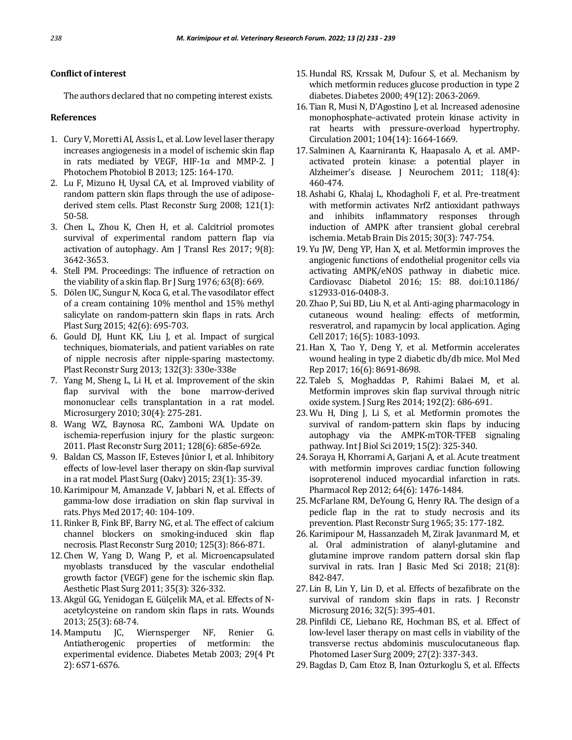# **Conflict of interest**

The authors declared that no competing interest exists.

#### **References**

- 1. Cury V, Moretti AI, Assis L, et al. Low level laser therapy increases angiogenesis in a model of ischemic skin flap in rats mediated by VEGF, HIF-1 $\alpha$  and MMP-2. J Photochem Photobiol B 2013; 125: 164-170.
- 2. Lu F, Mizuno H, Uysal CA, et al. Improved viability of random pattern skin flaps through the use of adiposederived stem cells. Plast Reconstr Surg 2008; 121(1): 50-58.
- 3. Chen L, Zhou K, Chen H, et al. Calcitriol promotes survival of experimental random pattern flap via activation of autophagy. Am J Transl Res 2017; 9(8): 3642-3653.
- 4. Stell PM. Proceedings: The influence of retraction on the viability of a skin flap. Br J Surg 1976; 63(8): 669.
- 5. Dölen UC, Sungur N, Koca G, et al. The vasodilator effect of a cream containing 10% menthol and 15% methyl salicylate on random-pattern skin flaps in rats. Arch Plast Surg 2015; 42(6): 695-703.
- 6. Gould DJ, Hunt KK, Liu J, et al. Impact of surgical techniques, biomaterials, and patient variables on rate of nipple necrosis after nipple-sparing mastectomy. Plast Reconstr Surg 2013; 132(3): 330e-338e
- 7. Yang M, Sheng L, Li H, et al. Improvement of the skin flap survival with the bone marrow-derived mononuclear cells transplantation in a rat model. Microsurgery 2010; 30(4): 275-281.
- 8. Wang WZ, Baynosa RC, Zamboni WA. Update on ischemia-reperfusion injury for the plastic surgeon: 2011. Plast Reconstr Surg 2011; 128(6): 685e-692e.
- 9. Baldan CS, Masson IF, Esteves Júnior I, et al. Inhibitory effects of low-level laser therapy on skin-flap survival in a rat model. Plast Surg (Oakv) 2015; 23(1): 35-39.
- 10. Karimipour M, Amanzade V, Jabbari N, et al. Effects of gamma-low dose irradiation on skin flap survival in rats. Phys Med 2017; 40: 104-109.
- 11. Rinker B, Fink BF, Barry NG, et al. The effect of calcium channel blockers on smoking-induced skin flap necrosis. Plast Reconstr Surg 2010; 125(3): 866-871.
- 12. Chen W, Yang D, Wang P, et al. Microencapsulated myoblasts transduced by the vascular endothelial growth factor (VEGF) gene for the ischemic skin flap. Aesthetic Plast Surg 2011; 35(3): 326-332.
- 13. Akgül GG, Yenidogan E, Gülçelik MA, et al. Effects of Nacetylcysteine on random skin flaps in rats. Wounds 2013; 25(3): 68-74.
- 14. Mamputu JC, Wiernsperger NF, Renier G. Antiatherogenic properties of metformin: the experimental evidence. Diabetes Metab 2003; 29(4 Pt 2): 6S71-6S76.
- 15.Hundal RS, Krssak M, Dufour S, et al. Mechanism by which metformin reduces glucose production in type 2 diabetes. Diabetes 2000; 49(12): 2063-2069.
- 16. Tian R, Musi N, D'Agostino J, et al. Increased adenosine monophosphate–activated protein kinase activity in rat hearts with pressure-overload hypertrophy. Circulation 2001; 104(14): 1664-1669.
- 17. Salminen A, Kaarniranta K, Haapasalo A, et al. AMP‐ activated protein kinase: a potential player in Alzheimer's disease. J Neurochem 2011; 118(4): 460-474.
- 18. Ashabi G, Khalaj L, Khodagholi F, et al. Pre-treatment with metformin activates Nrf2 antioxidant pathways and inhibits inflammatory responses through induction of AMPK after transient global cerebral ischemia. Metab Brain Dis 2015; 30(3): 747-754.
- 19. Yu JW, Deng YP, Han X, et al. Metformin improves the angiogenic functions of endothelial progenitor cells via activating AMPK/eNOS pathway in diabetic mice. Cardiovasc Diabetol 2016; 15: 88. doi:10.1186/ s12933-016-0408-3.
- 20. Zhao P, Sui BD, Liu N, et al*.* Anti‐aging pharmacology in cutaneous wound healing: effects of metformin, resveratrol, and rapamycin by local application. Aging Cell 2017; 16(5): 1083-1093.
- 21.Han X, Tao Y, Deng Y, et al. Metformin accelerates wound healing in type 2 diabetic db/db mice. Mol Med Rep 2017; 16(6): 8691-8698.
- 22. Taleb S, Moghaddas P, Rahimi Balaei M, et al*.* Metformin improves skin flap survival through nitric oxide system. J Surg Res 2014; 192(2): 686-691.
- 23. Wu H, Ding J, Li S, et al*.* Metformin promotes the survival of random-pattern skin flaps by inducing autophagy via the AMPK-mTOR-TFEB signaling pathway. Int J Biol Sci 2019; 15(2): 325-340.
- 24. Soraya H, Khorrami A, Garjani A, et al. Acute treatment with metformin improves cardiac function following isoproterenol induced myocardial infarction in rats. Pharmacol Rep 2012; 64(6): 1476-1484.
- 25. McFarlane RM, DeYoung G, Henry RA. The design of a pedicle flap in the rat to study necrosis and its prevention. Plast Reconstr Surg 1965; 35: 177-182.
- 26. Karimipour M, Hassanzadeh M, Zirak Javanmard M, et al. Oral administration of alanyl-glutamine and glutamine improve random pattern dorsal skin flap survival in rats. Iran J Basic Med Sci 2018; 21(8): 842-847.
- 27. Lin B, Lin Y, Lin D, et al. Effects of bezafibrate on the survival of random skin flaps in rats. J Reconstr Microsurg 2016; 32(5): 395-401.
- 28. Pinfildi CE, Liebano RE, Hochman BS, et al. Effect of low-level laser therapy on mast cells in viability of the transverse rectus abdominis musculocutaneous flap. Photomed Laser Surg 2009; 27(2): 337-343.
- 29. Bagdas D, Cam Etoz B, Inan Ozturkoglu S, et al. Effects